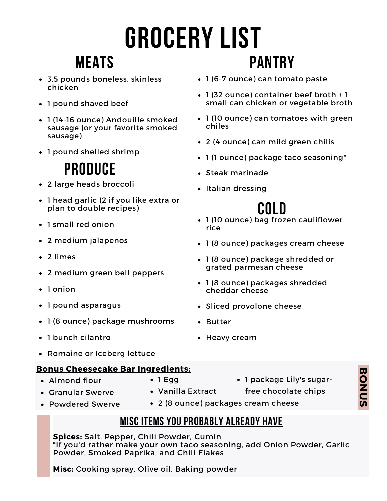# **grocery list Pantry**

## **Meats**

- 3.5 pounds boneless, skinless chicken
- 1 pound shaved beef
- 1 (14-16 ounce) Andouille smoked sausage (or your favorite smoked sausage)
- 1 pound shelled shrimp

## **Produce**

- 2 large heads broccoli
- 1 head garlic (2 if you like extra or plan to double recipes)
- 1 small red onion
- 2 medium jalapenos
- 2 limes
- 2 medium green bell peppers
- 1 onion
- 1 pound asparagus
- 1 (8 ounce) package mushrooms
- 1 bunch cilantro
- Romaine or Iceberg lettuce

### **Bonus Cheesecake Bar Ingredients:**

- Almond flour
- $\bullet$  1 Egg

Vanilla Extract

- Granular Swerve
- Powdered Swerve
- 1 (6-7 ounce) can tomato paste
- 1 (32 ounce) container beef broth + 1 small can chicken or vegetable broth
- 1 (10 ounce) can tomatoes with green chiles
- 2 (4 ounce) can mild green chilis
- 1 (1 ounce) package taco seasoning\*
- Steak marinade
- Italian dressing

- 1 (10 ounce) bag frozen cauliflower **Cold** rice
- 1 (8 ounce) packages cream cheese
- 1 (8 ounce) package shredded or grated parmesan cheese
- 1 (8 ounce) packages shredded cheddar cheese
- Sliced provolone cheese
- Butter
- Heavy cream
	- 1 package Lily's sugar
		- free chocolate chips
- 2 (8 ounce) packages cream cheese

## **Misc Items you probably already have**

**Spices:** Salt, Pepper, Chili Powder, Cumin \*If you'd rather make your own taco seasoning, add Onion Powder, Garlic Powder, Smoked Paprika, and Chili Flakes

**Misc:** Cooking spray, Olive oil, Baking powder